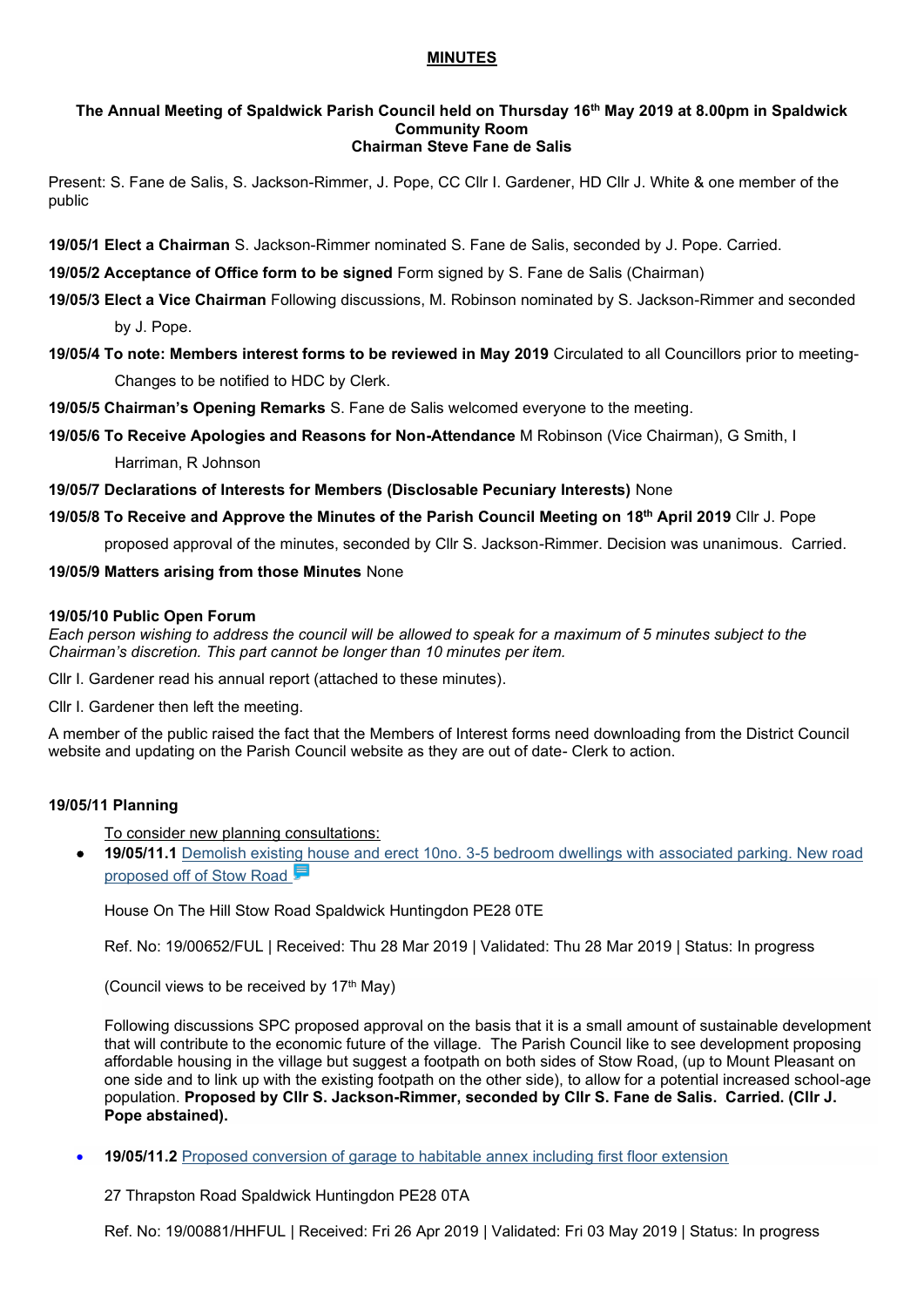### **MINUTES**

#### **The Annual Meeting of Spaldwick Parish Council held on Thursday 16 th May 2019 at 8.00pm in Spaldwick Community Room Chairman Steve Fane de Salis**

Present: S. Fane de Salis, S. Jackson-Rimmer, J. Pope, CC Cllr I. Gardener, HD Cllr J. White & one member of the public

**19/05/1 Elect a Chairman** S. Jackson-Rimmer nominated S. Fane de Salis, seconded by J. Pope. Carried.

**19/05/2 Acceptance of Office form to be signed** Form signed by S. Fane de Salis (Chairman)

**19/05/3 Elect a Vice Chairman** Following discussions, M. Robinson nominated by S. Jackson-Rimmer and seconded

by J. Pope.

**19/05/4 To note: Members interest forms to be reviewed in May 2019** Circulated to all Councillors prior to meeting-Changes to be notified to HDC by Clerk.

**19/05/5 Chairman's Opening Remarks** S. Fane de Salis welcomed everyone to the meeting.

**19/05/6 To Receive Apologies and Reasons for Non-Attendance** M Robinson (Vice Chairman), G Smith, I

Harriman, R Johnson

**19/05/7 Declarations of Interests for Members (Disclosable Pecuniary Interests)** None

**19/05/8 To Receive and Approve the Minutes of the Parish Council Meeting on 18th April 2019** Cllr J. Pope

proposed approval of the minutes, seconded by Cllr S. Jackson-Rimmer. Decision was unanimous. Carried.

**19/05/9 Matters arising from those Minutes** None

### **19/05/10 Public Open Forum**

*Each person wishing to address the council will be allowed to speak for a maximum of 5 minutes subject to the Chairman's discretion. This part cannot be longer than 10 minutes per item.* 

Cllr I. Gardener read his annual report (attached to these minutes).

Cllr I. Gardener then left the meeting.

A member of the public raised the fact that the Members of Interest forms need downloading from the District Council website and updating on the Parish Council website as they are out of date- Clerk to action.

# **19/05/11 Planning**

To consider new planning consultations:

• **19/05/11.1** [Demolish existing house and erect 10no. 3-5 bedroom dwellings with associated parking. New road](https://publicaccess.huntingdonshire.gov.uk/online-applications/applicationDetails.do?keyVal=PP366XIKKLN00&activeTab=summary)  proposed off of Stow Road

House On The Hill Stow Road Spaldwick Huntingdon PE28 0TE

Ref. No: 19/00652/FUL | Received: Thu 28 Mar 2019 | Validated: Thu 28 Mar 2019 | Status: In progress

(Council views to be received by  $17<sup>th</sup>$  May)

Following discussions SPC proposed approval on the basis that it is a small amount of sustainable development that will contribute to the economic future of the village. The Parish Council like to see development proposing affordable housing in the village but suggest a footpath on both sides of Stow Road, (up to Mount Pleasant on one side and to link up with the existing footpath on the other side), to allow for a potential increased school-age population. **Proposed by Cllr S. Jackson-Rimmer, seconded by Cllr S. Fane de Salis. Carried. (Cllr J. Pope abstained).** 

• **19/05/11.2** Proposed conversion of garage to habitable annex including first floor extension

27 Thrapston Road Spaldwick Huntingdon PE28 0TA

Ref. No: 19/00881/HHFUL | Received: Fri 26 Apr 2019 | Validated: Fri 03 May 2019 | Status: In progress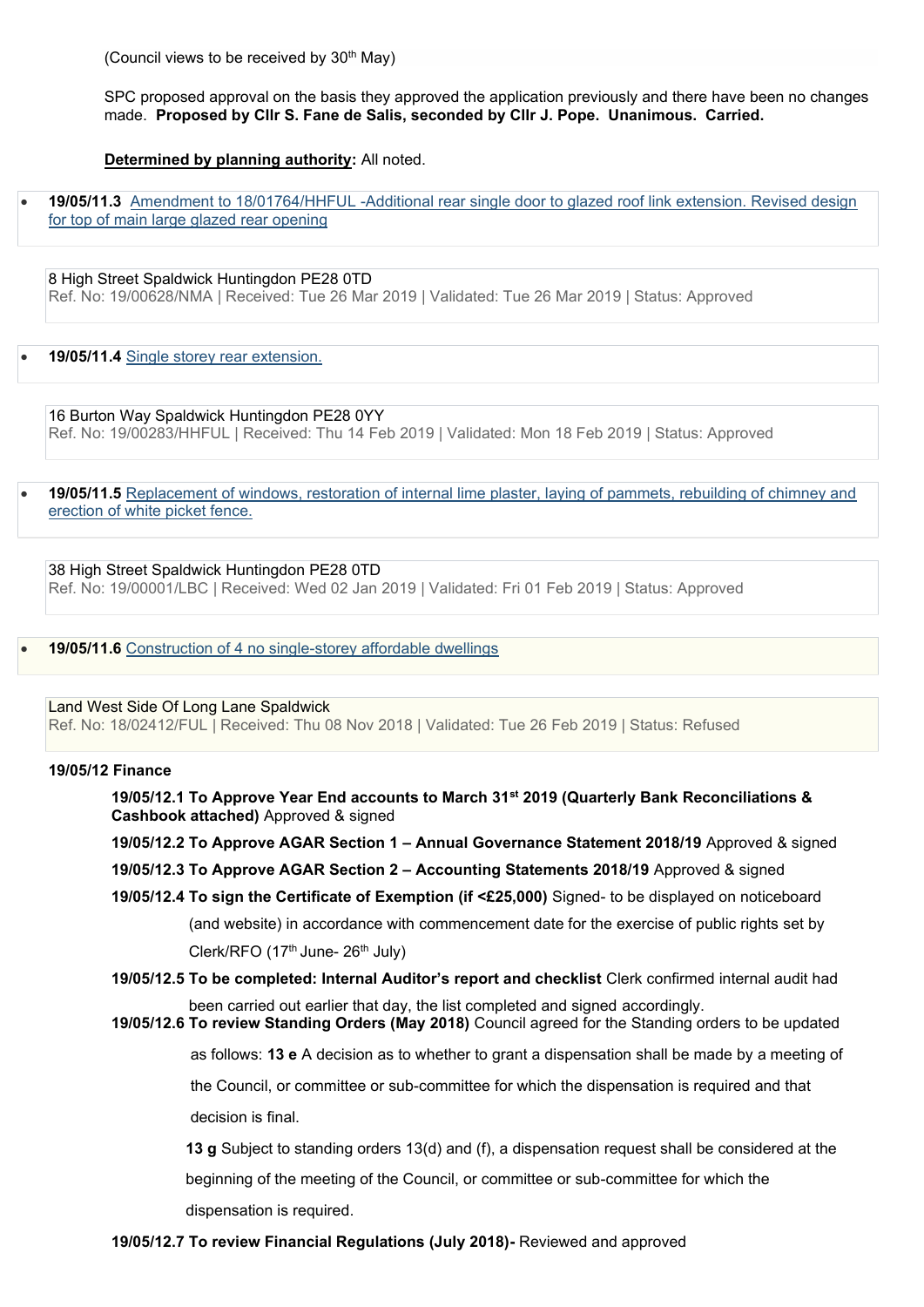(Council views to be received by  $30<sup>th</sup>$  May)

SPC proposed approval on the basis they approved the application previously and there have been no changes made. **Proposed by Cllr S. Fane de Salis, seconded by Cllr J. Pope. Unanimous. Carried.**

**Determined by planning authority:** All noted.

• **19/05/11.3** [Amendment to 18/01764/HHFUL -Additional rear single door to glazed roof link extension. Revised design](https://publicaccess.huntingdonshire.gov.uk/online-applications/applicationDetails.do?keyVal=PP0KDDIK0DP00&activeTab=summary)  [for top of main large glazed rear opening](https://publicaccess.huntingdonshire.gov.uk/online-applications/applicationDetails.do?keyVal=PP0KDDIK0DP00&activeTab=summary) 

8 High Street Spaldwick Huntingdon PE28 0TD Ref. No: 19/00628/NMA | Received: Tue 26 Mar 2019 | Validated: Tue 26 Mar 2019 | Status: Approved

• **19/05/11.4** [Single storey rear extension.](https://publicaccess.huntingdonshire.gov.uk/online-applications/applicationDetails.do?keyVal=PMX031IKJO700&activeTab=summary) 

16 Burton Way Spaldwick Huntingdon PE28 0YY Ref. No: 19/00283/HHFUL | Received: Thu 14 Feb 2019 | Validated: Mon 18 Feb 2019 | Status: Approved

• **19/05/11.5** [Replacement of windows, restoration of internal lime plaster, laying of pammets, rebuilding of chimney and](https://publicaccess.huntingdonshire.gov.uk/online-applications/applicationDetails.do?keyVal=PKP2A4IKIUH00&activeTab=summary)  [erection of white picket fence.](https://publicaccess.huntingdonshire.gov.uk/online-applications/applicationDetails.do?keyVal=PKP2A4IKIUH00&activeTab=summary) 

38 High Street Spaldwick Huntingdon PE28 0TD Ref. No: 19/00001/LBC | Received: Wed 02 Jan 2019 | Validated: Fri 01 Feb 2019 | Status: Approved

• **19/05/11.6** [Construction of 4 no single-storey affordable dwellings](https://publicaccess.huntingdonshire.gov.uk/online-applications/applicationDetails.do?keyVal=PHVR37IKHU600&activeTab=summary) 

Land West Side Of Long Lane Spaldwick

Ref. No: 18/02412/FUL | Received: Thu 08 Nov 2018 | Validated: Tue 26 Feb 2019 | Status: Refused

#### **19/05/12 Finance**

**19/05/12.1 To Approve Year End accounts to March 31st 2019 (Quarterly Bank Reconciliations & Cashbook attached)** Approved & signed

**19/05/12.2 To Approve AGAR Section 1 – Annual Governance Statement 2018/19** Approved & signed

- **19/05/12.3 To Approve AGAR Section 2 – Accounting Statements 2018/19** Approved & signed
- **19/05/12.4 To sign the Certificate of Exemption (if <£25,000)** Signed- to be displayed on noticeboard

(and website) in accordance with commencement date for the exercise of public rights set by Clerk/RFO (17<sup>th</sup> June- 26<sup>th</sup> July)

**19/05/12.5 To be completed: Internal Auditor's report and checklist** Clerk confirmed internal audit had

been carried out earlier that day, the list completed and signed accordingly.

**19/05/12.6 To review Standing Orders (May 2018)** Council agreed for the Standing orders to be updated

as follows: **13 e** A decision as to whether to grant a dispensation shall be made by a meeting of

the Council, or committee or sub-committee for which the dispensation is required and that

decision is final.

**13 g** Subject to standing orders 13(d) and (f), a dispensation request shall be considered at the

beginning of the meeting of the Council, or committee or sub-committee for which the

dispensation is required.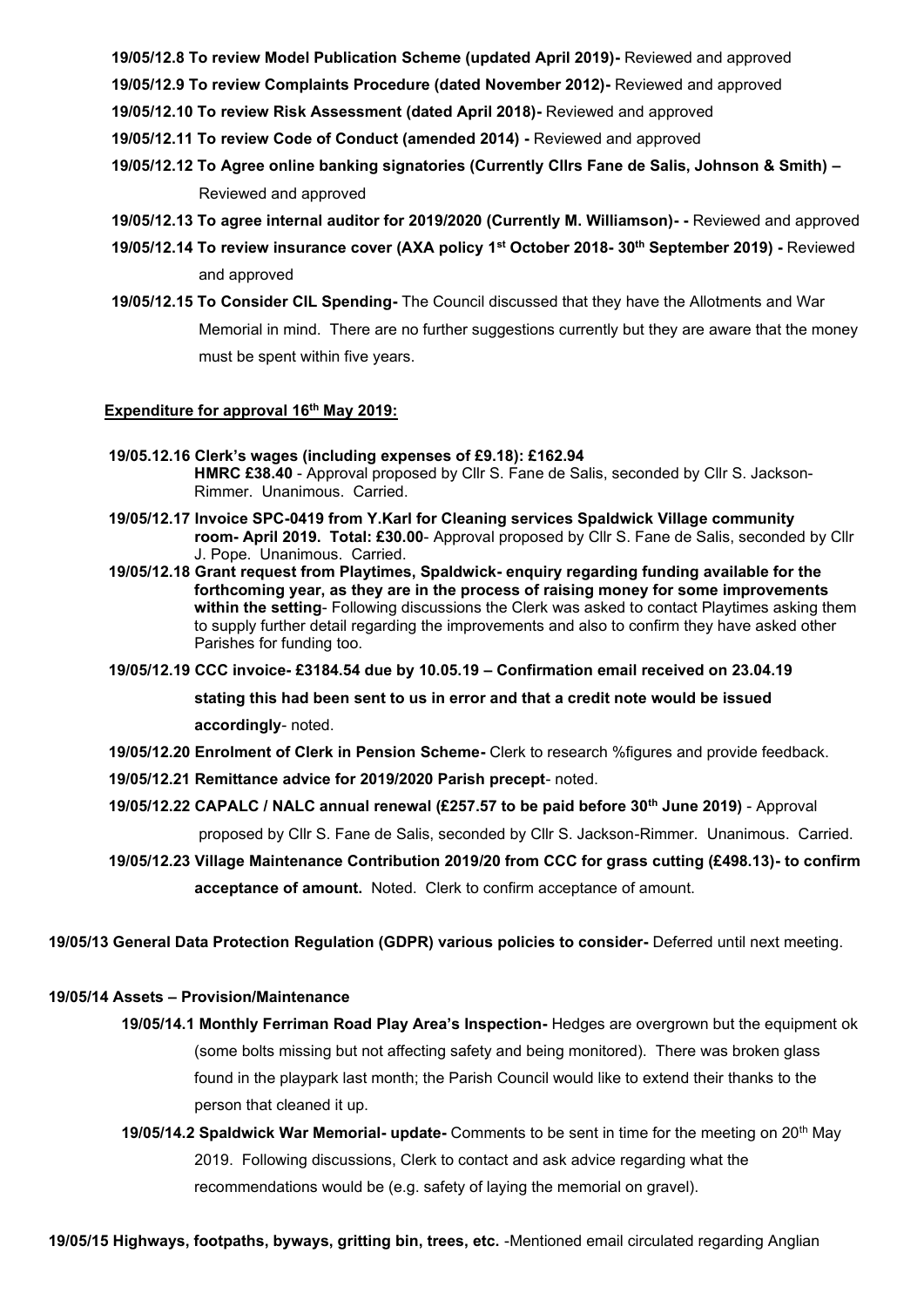**19/05/12.8 To review Model Publication Scheme (updated April 2019)-** Reviewed and approved

**19/05/12.9 To review Complaints Procedure (dated November 2012)-** Reviewed and approved

**19/05/12.10 To review Risk Assessment (dated April 2018)-** Reviewed and approved

**19/05/12.11 To review Code of Conduct (amended 2014) -** Reviewed and approved

- **19/05/12.12 To Agree online banking signatories (Currently Cllrs Fane de Salis, Johnson & Smith) –** Reviewed and approved
- **19/05/12.13 To agree internal auditor for 2019/2020 (Currently M. Williamson)- -** Reviewed and approved
- **19/05/12.14 To review insurance cover (AXA policy 1st October 2018- 30th September 2019) -** Reviewed and approved
- **19/05/12.15 To Consider CIL Spending-** The Council discussed that they have the Allotments and War Memorial in mind. There are no further suggestions currently but they are aware that the money must be spent within five years.

### **Expenditure for approval 16th May 2019:**

- **19/05.12.16 Clerk's wages (including expenses of £9.18): £162.94 HMRC £38.40** - Approval proposed by Cllr S. Fane de Salis, seconded by Cllr S. Jackson- Rimmer. Unanimous. Carried.
- **19/05/12.17 Invoice SPC-0419 from Y.Karl for Cleaning services Spaldwick Village community room- April 2019. Total: £30.00**- Approval proposed by Cllr S. Fane de Salis, seconded by Cllr J. Pope. Unanimous. Carried.
- **19/05/12.18 Grant request from Playtimes, Spaldwick- enquiry regarding funding available for the forthcoming year, as they are in the process of raising money for some improvements within the setting**- Following discussions the Clerk was asked to contact Playtimes asking them to supply further detail regarding the improvements and also to confirm they have asked other Parishes for funding too.
- **19/05/12.19 CCC invoice- £3184.54 due by 10.05.19 – Confirmation email received on 23.04.19**

 **stating this had been sent to us in error and that a credit note would be issued**

 **accordingly**- noted.

**19/05/12.20 Enrolment of Clerk in Pension Scheme-** Clerk to research %figures and provide feedback.

- **19/05/12.21 Remittance advice for 2019/2020 Parish precept** noted.
- **19/05/12.22 CAPALC / NALC annual renewal (£257.57 to be paid before 30th June 2019)** Approval proposed by Cllr S. Fane de Salis, seconded by Cllr S. Jackson-Rimmer. Unanimous. Carried.
- **19/05/12.23 Village Maintenance Contribution 2019/20 from CCC for grass cutting (£498.13)- to confirm acceptance of amount.** Noted. Clerk to confirm acceptance of amount.

**19/05/13 General Data Protection Regulation (GDPR) various policies to consider-** Deferred until next meeting.

### **19/05/14 Assets – Provision/Maintenance**

- **19/05/14.1 Monthly Ferriman Road Play Area's Inspection-** Hedges are overgrown but the equipment ok (some bolts missing but not affecting safety and being monitored). There was broken glass found in the playpark last month; the Parish Council would like to extend their thanks to the person that cleaned it up.
- **19/05/14.2 Spaldwick War Memorial- update-** Comments to be sent in time for the meeting on 20th May 2019. Following discussions, Clerk to contact and ask advice regarding what the recommendations would be (e.g. safety of laying the memorial on gravel).

**19/05/15 Highways, footpaths, byways, gritting bin, trees, etc.** -Mentioned email circulated regarding Anglian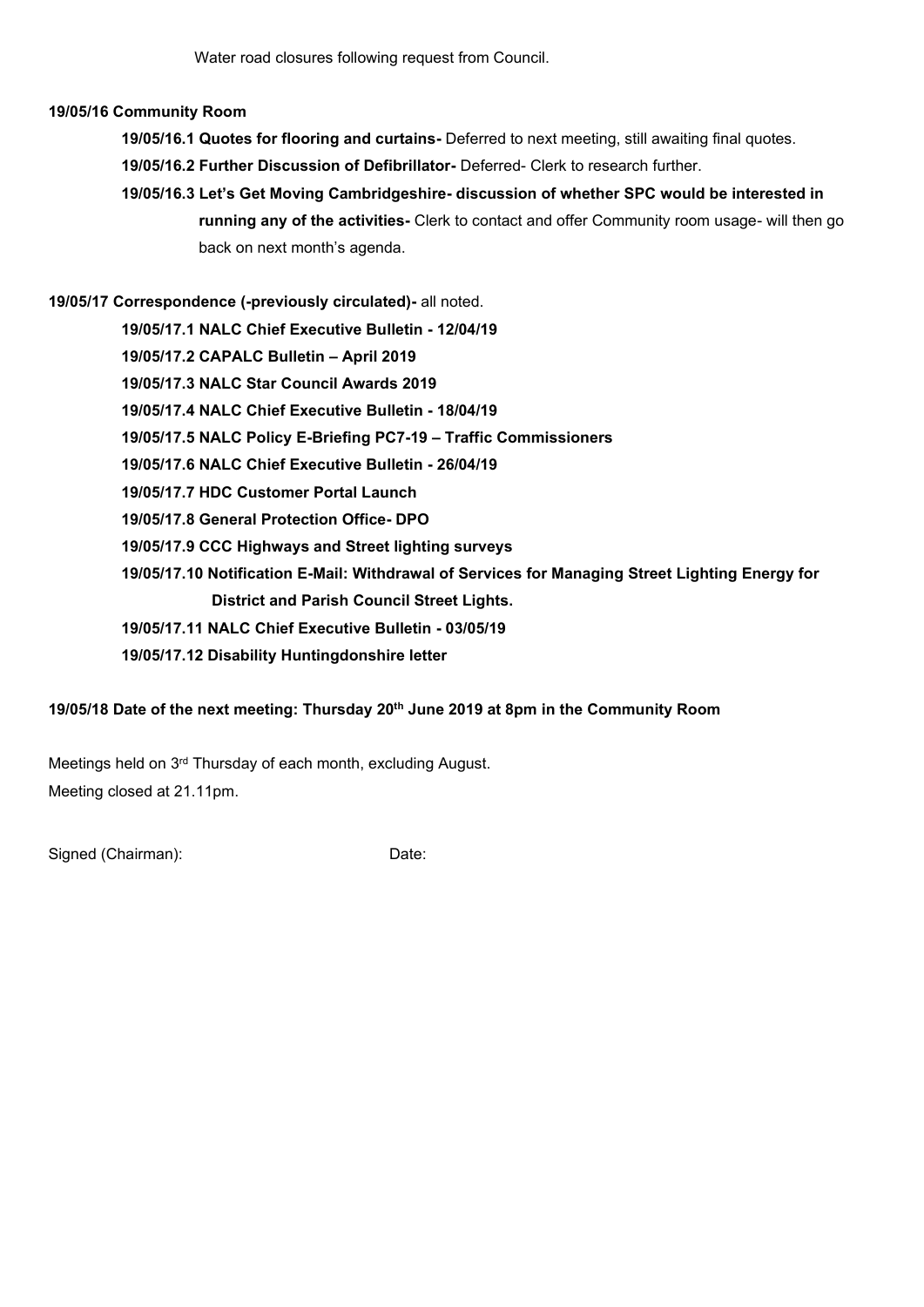## **19/05/16 Community Room**

- **19/05/16.1 Quotes for flooring and curtains-** Deferred to next meeting, still awaiting final quotes.
- **19/05/16.2 Further Discussion of Defibrillator-** Deferred- Clerk to research further.
- **19/05/16.3 Let's Get Moving Cambridgeshire- discussion of whether SPC would be interested in running any of the activities-** Clerk to contact and offer Community room usage- will then go back on next month's agenda.

**19/05/17 Correspondence (-previously circulated)-** all noted.  **19/05/17.1 NALC Chief Executive Bulletin - 12/04/19 19/05/17.2 CAPALC Bulletin – April 2019 19/05/17.3 NALC Star Council Awards 2019 19/05/17.4 NALC Chief Executive Bulletin - 18/04/19 19/05/17.5 NALC Policy E-Briefing PC7-19 – Traffic Commissioners 19/05/17.6 NALC Chief Executive Bulletin - 26/04/19 19/05/17.7 HDC Customer Portal Launch 19/05/17.8 General Protection Office- DPO 19/05/17.9 CCC Highways and Street lighting surveys 19/05/17.10 Notification E-Mail: Withdrawal of Services for Managing Street Lighting Energy for District and Parish Council Street Lights. 19/05/17.11 NALC Chief Executive Bulletin - 03/05/19 19/05/17.12 Disability Huntingdonshire letter**

# **19/05/18 Date of the next meeting: Thursday 20th June 2019 at 8pm in the Community Room**

Meetings held on 3<sup>rd</sup> Thursday of each month, excluding August. Meeting closed at 21.11pm.

Signed (Chairman): Date: